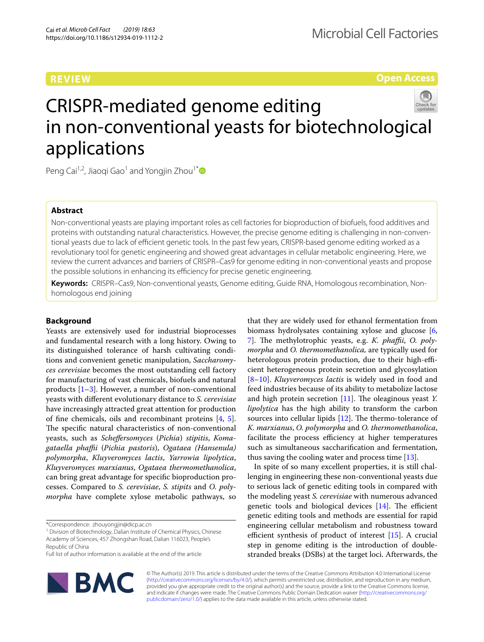# **REVIEW**

**Open Access**

# CRISPR-mediated genome editing in non-conventional yeasts for biotechnological applications

Peng Cai<sup>1,2</sup>, Jiaoqi Gao<sup>1</sup> and Yongjin Zhou<sup>1[\\*](http://orcid.org/0000-0002-2369-3079)</sup>

## **Abstract**

Non-conventional yeasts are playing important roles as cell factories for bioproduction of biofuels, food additives and proteins with outstanding natural characteristics. However, the precise genome editing is challenging in non-conventional yeasts due to lack of efficient genetic tools. In the past few years, CRISPR-based genome editing worked as a revolutionary tool for genetic engineering and showed great advantages in cellular metabolic engineering. Here, we review the current advances and barriers of CRISPR–Cas9 for genome editing in non-conventional yeasts and propose the possible solutions in enhancing its efficiency for precise genetic engineering.

**Keywords:** CRISPR–Cas9, Non-conventional yeasts, Genome editing, Guide RNA, Homologous recombination, Nonhomologous end joining

## **Background**

Yeasts are extensively used for industrial bioprocesses and fundamental research with a long history. Owing to its distinguished tolerance of harsh cultivating conditions and convenient genetic manipulation, *Saccharomyces cerevisiae* becomes the most outstanding cell factory for manufacturing of vast chemicals, biofuels and natural products [\[1](#page-9-0)[–3\]](#page-9-1). However, a number of non-conventional yeasts with diferent evolutionary distance to *S. cerevisiae* have increasingly attracted great attention for production of fne chemicals, oils and recombinant proteins [\[4](#page-9-2), [5](#page-9-3)]. The specific natural characteristics of non-conventional yeasts, such as *Schefersomyces* (*Pichia*) *stipitis*, *Komagataella phafi* (*Pichia pastoris*), *Ogataea (Hansenula) polymorpha*, *Kluyveromyces lactis*, *Yarrowia lipolytica*, *Kluyveromyces marxianus*, *Ogataea thermomethanolica*, can bring great advantage for specifc bioproduction processes. Compared to *S. cerevisiae*, *S. stipits* and *O. polymorpha* have complete xylose metabolic pathways, so

\*Correspondence: zhouyongjin@dicp.ac.cn

<sup>1</sup> Division of Biotechnology, Dalian Institute of Chemical Physics, Chinese Academy of Sciences, 457 Zhongshan Road, Dalian 116023, People's Republic of China

Full list of author information is available at the end of the article



that they are widely used for ethanol fermentation from biomass hydrolysates containing xylose and glucose [\[6](#page-9-4), [7\]](#page-9-5). The methylotrophic yeasts, e.g. *K. phaffii*, *O. polymorpha* and *O. thermomethanolica,* are typically used for heterologous protein production, due to their high-efficient heterogeneous protein secretion and glycosylation [[8–](#page-9-6)[10\]](#page-10-0). *Kluyveromyces lactis* is widely used in food and feed industries because of its ability to metabolize lactose and high protein secretion [\[11](#page-10-1)]. The oleaginous yeast *Y*. *lipolytica* has the high ability to transform the carbon sources into cellular lipids  $[12]$ . The thermo-tolerance of *K. marxianus*, *O. polymorpha* and *O. thermomethanolica*, facilitate the process efficiency at higher temperatures such as simultaneous saccharifcation and fermentation, thus saving the cooling water and process time [\[13\]](#page-10-3).

In spite of so many excellent properties, it is still challenging in engineering these non-conventional yeasts due to serious lack of genetic editing tools in compared with the modeling yeast *S. cerevisiae* with numerous advanced genetic tools and biological devices  $[14]$  $[14]$ . The efficient genetic editing tools and methods are essential for rapid engineering cellular metabolism and robustness toward efficient synthesis of product of interest  $[15]$  $[15]$ . A crucial step in genome editing is the introduction of doublestranded breaks (DSBs) at the target loci. Afterwards, the

© The Author(s) 2019. This article is distributed under the terms of the Creative Commons Attribution 4.0 International License [\(http://creativecommons.org/licenses/by/4.0/\)](http://creativecommons.org/licenses/by/4.0/), which permits unrestricted use, distribution, and reproduction in any medium, provided you give appropriate credit to the original author(s) and the source, provide a link to the Creative Commons license, and indicate if changes were made. The Creative Commons Public Domain Dedication waiver ([http://creativecommons.org/](http://creativecommons.org/publicdomain/zero/1.0/) [publicdomain/zero/1.0/](http://creativecommons.org/publicdomain/zero/1.0/)) applies to the data made available in this article, unless otherwise stated.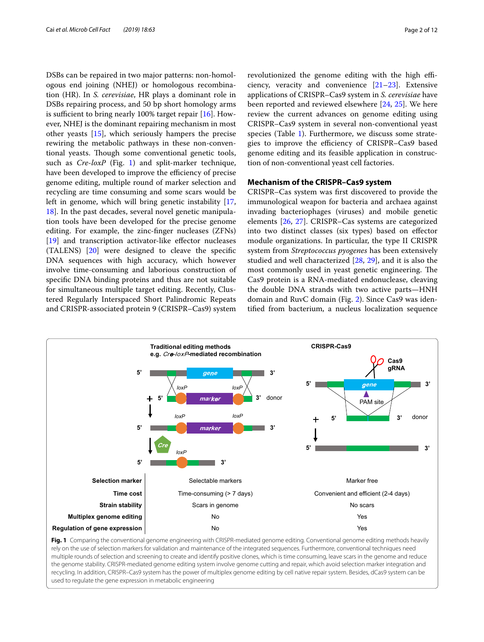DSBs can be repaired in two major patterns: non-homologous end joining (NHEJ) or homologous recombination (HR). In *S. cerevisiae*, HR plays a dominant role in DSBs repairing process, and 50 bp short homology arms is sufficient to bring nearly 100% target repair  $[16]$  $[16]$ . However, NHEJ is the dominant repairing mechanism in most other yeasts [\[15\]](#page-10-5), which seriously hampers the precise rewiring the metabolic pathways in these non-conventional yeasts. Though some conventional genetic tools, such as *Cre*-*loxP* (Fig. [1](#page-1-0)) and split-marker technique, have been developed to improve the efficiency of precise genome editing, multiple round of marker selection and recycling are time consuming and some scars would be left in genome, which will bring genetic instability [\[17](#page-10-7), [18\]](#page-10-8). In the past decades, several novel genetic manipulation tools have been developed for the precise genome editing. For example, the zinc-fnger nucleases (ZFNs) [[19\]](#page-10-9) and transcription activator-like effector nucleases (TALENS) [\[20\]](#page-10-10) were designed to cleave the specifc DNA sequences with high accuracy, which however involve time-consuming and laborious construction of specifc DNA binding proteins and thus are not suitable for simultaneous multiple target editing. Recently, Clustered Regularly Interspaced Short Palindromic Repeats and CRISPR-associated protein 9 (CRISPR–Cas9) system

revolutionized the genome editing with the high efficiency, veracity and convenience  $[21-23]$  $[21-23]$  $[21-23]$ . Extensive applications of CRISPR–Cas9 system in *S. cerevisiae* have been reported and reviewed elsewhere [[24,](#page-10-13) [25\]](#page-10-14). We here review the current advances on genome editing using CRISPR–Cas9 system in several non-conventional yeast species (Table [1\)](#page-2-0). Furthermore, we discuss some strategies to improve the efficiency of CRISPR-Cas9 based genome editing and its feasible application in construction of non-conventional yeast cell factories.

## **Mechanism of the CRISPR–Cas9 system**

CRISPR–Cas system was frst discovered to provide the immunological weapon for bacteria and archaea against invading bacteriophages (viruses) and mobile genetic elements [\[26,](#page-10-15) [27](#page-10-16)]. CRISPR–Cas systems are categorized into two distinct classes (six types) based on efector module organizations. In particular, the type II CRISPR system from *Streptococcus pyogenes* has been extensively studied and well characterized [[28,](#page-10-17) [29\]](#page-10-18), and it is also the most commonly used in yeast genetic engineering. The Cas9 protein is a RNA-mediated endonuclease, cleaving the double DNA strands with two active parts—HNH domain and RuvC domain (Fig. [2\)](#page-4-0). Since Cas9 was identifed from bacterium, a nucleus localization sequence



<span id="page-1-0"></span>**Fig. 1** Comparing the conventional genome engineering with CRISPR-mediated genome editing. Conventional genome editing methods heavily rely on the use of selection markers for validation and maintenance of the integrated sequences. Furthermore, conventional techniques need multiple rounds of selection and screening to create and identify positive clones, which is time consuming, leave scars in the genome and reduce the genome stability. CRISPR-mediated genome editing system involve genome cutting and repair, which avoid selection marker integration and recycling. In addition, CRISPR–Cas9 system has the power of multiplex genome editing by cell native repair system. Besides, dCas9 system can be used to regulate the gene expression in metabolic engineering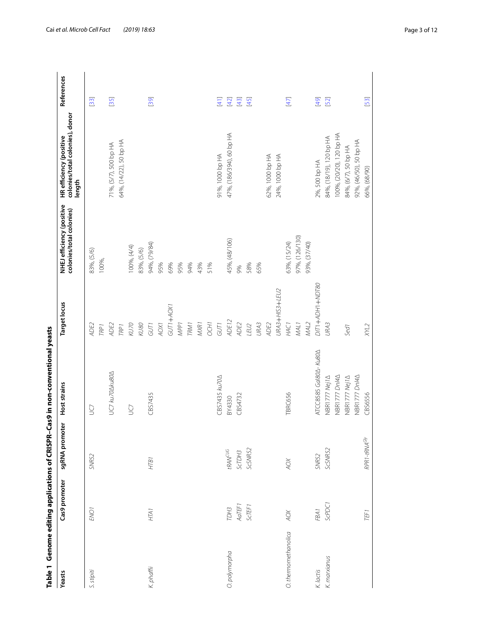<span id="page-2-0"></span>

| Table 1 Genome editing applications of CRISPR |                  |                                            | -Cas9 in non-conventional yeasts      |                     |                                                       |                                                                      |               |
|-----------------------------------------------|------------------|--------------------------------------------|---------------------------------------|---------------------|-------------------------------------------------------|----------------------------------------------------------------------|---------------|
| Yeasts                                        | Cas9 promoter    | sgRNA promoter                             | <b>Host strains</b>                   | <b>Target locus</b> | NHEJ efficiency (positive<br>colonies/total colonies) | colonies/total colonies), donor<br>HR efficiency (positive<br>length | References    |
| S. stipiti                                    | ENO <sub>1</sub> | SNR52                                      | g                                     | ADE2                | 83%, (5/6)                                            |                                                                      | $[33]$        |
|                                               |                  |                                            |                                       | <b>TRP1</b>         | 100%,                                                 |                                                                      |               |
|                                               |                  |                                            | UC7 ku70 $\triangle$ ku80 $\triangle$ | ADE2                |                                                       | 71%, (5/7), 500 bp HA                                                | [35]          |
|                                               |                  |                                            |                                       | <b>TRP1</b>         |                                                       | 64%, (14/22), 50 bp HA                                               |               |
|                                               |                  |                                            | S                                     | KU70                | 00%, (4/4)                                            |                                                                      |               |
|                                               |                  |                                            |                                       | KU80                | 83%, (5/6)                                            |                                                                      |               |
| K. phaffii                                    | HTA <sub>1</sub> | HTB1                                       | CBS7435                               | GUT1                | 94%, (79/84)                                          |                                                                      | [39]          |
|                                               |                  |                                            |                                       | AOX1                | 95%                                                   |                                                                      |               |
|                                               |                  |                                            |                                       | GUT1+AOX1           | 69%                                                   |                                                                      |               |
|                                               |                  |                                            |                                       | MPP <sub>1</sub>    | 95%                                                   |                                                                      |               |
|                                               |                  |                                            |                                       | <b>TRM1</b>         | 94%                                                   |                                                                      |               |
|                                               |                  |                                            |                                       | <b>MXR1</b>         | 43%                                                   |                                                                      |               |
|                                               |                  |                                            |                                       | <b>OCH1</b>         | 51%                                                   |                                                                      |               |
|                                               |                  |                                            | <b>CBS7435 ku70</b>                   | GUT1                |                                                       | 91%, 1000 bp HA                                                      | $\frac{1}{4}$ |
| O. polymorpha                                 | TDH3             | $t{\cal R} {\cal A} {\cal N}^{\text{CUG}}$ | BY4330                                | ADE12               | 45%, (48/106)                                         | 47%, (186/394), 60 bp HA                                             | $[42]$        |
|                                               | AaTEF1           | ScTDH3                                     | CBS4732                               | ADE2                | 9%                                                    |                                                                      | $[43]$        |
|                                               | <b>ScTEF1</b>    | ScSNR52                                    |                                       | LEU2                | 58%                                                   |                                                                      | $[45]$        |
|                                               |                  |                                            |                                       | URA3                | 65%                                                   |                                                                      |               |
|                                               |                  |                                            |                                       | ADE2                |                                                       | 62%, 1000 bp HA                                                      |               |
|                                               |                  |                                            |                                       | URA3+H/S3+LEU2      |                                                       | 24%, 1000 bp HA                                                      |               |
| O. thermomethanolica                          | <b>AOX</b>       | <b>XOV</b>                                 | TBRC656                               | HAC <sub>1</sub>    | 63%, (15/24)                                          |                                                                      | $[47]$        |
|                                               |                  |                                            |                                       | MAL <sub>1</sub>    | 97%, (126/130)                                        |                                                                      |               |
|                                               |                  |                                            |                                       | <b>MAL2</b>         | 93%, (37/40)                                          |                                                                      |               |
| K. lactis                                     | FBA1             | SNR52                                      | ATCC8585 Gal804- Ku804                | DITI +ADH1+NDT80    |                                                       | 2%, 500 bp HA                                                        | [49]          |
| K. marxianus                                  | ScPDC1           | ScSNR52                                    | NBR1777 Nej 14                        | URA <sub>3</sub>    |                                                       | 84%, (18/19), 120 bp HA                                              | [52]          |
|                                               |                  |                                            | NBR1777 DnI4A                         |                     |                                                       | 100%, (20/20), 120 bp HA                                             |               |
|                                               |                  |                                            | NBR1777 Nej14                         | Sed <sub>1</sub>    |                                                       | 84%, (6/7), 50 bp HA                                                 |               |
|                                               |                  |                                            | NBR1777 Dn/4A                         |                     |                                                       | 92%, (46/50), 50 bp HA                                               |               |
|                                               | TEF <sub>1</sub> | RPR1-tRNA <sup>Gly</sup>                   | CBS6556                               | XML                 |                                                       | 66%, (68/90)                                                         | [53]          |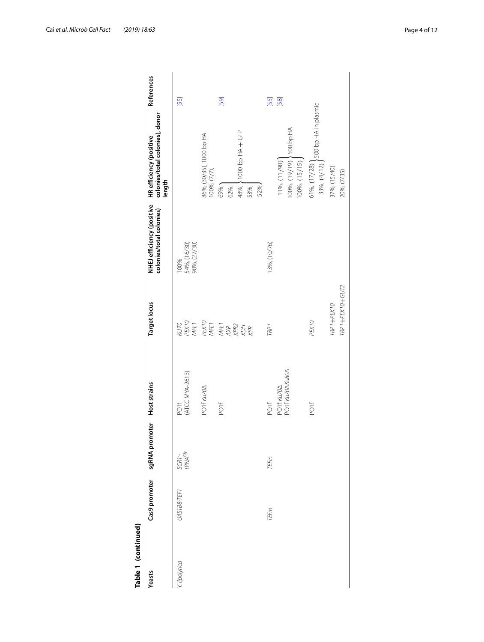| Table 1 (continued) |               |                               |                               |                               |                                                       |                                                                      |            |
|---------------------|---------------|-------------------------------|-------------------------------|-------------------------------|-------------------------------------------------------|----------------------------------------------------------------------|------------|
| Yeasts              | Cas9 promoter | sgRNA promoter                | <b>Host strains</b>           | <b>Target locus</b>           | NHEJ efficiency (positive<br>colonies/total colonies) | colonies/total colonies), donor<br>HR efficiency (positive<br>length | References |
| Y. lipolytica       | UAS1B8-TEF1   | SCR1'-<br>tRNA <sup>Gly</sup> | (ATCC MYA-2613)<br>POIF       | KU70<br>PEX10<br>MFE1         | 100%<br>54%, (16/30)<br>90%, (27/30)                  |                                                                      | [55]       |
|                     |               |                               | PO1f Ku70A                    | PEX10<br>MFE1                 |                                                       | 86%, (30/35), 1000 bp HA<br>100%, (7/7),                             |            |
|                     |               |                               | POIF                          |                               |                                                       | 69%,<br>62%,                                                         | [59]       |
|                     |               |                               |                               | MFEI<br>AXP<br>ARR<br>XXR     |                                                       | 48%, >1000 bp HA + GFP<br>52%.<br>53%,                               |            |
|                     | TEFin         | TEFin                         | POIF                          | TRP <sub>1</sub>              | 13%, (10/76)                                          |                                                                      | $[55]$     |
|                     |               |                               | PO1f Ku70AKu80A<br>PO1f Ku70A |                               |                                                       | 100%, (19/19) \600 bp HA<br>$11\%, (11/98)$<br>100%, (15/15)         | [58]       |
|                     |               |                               | POIF                          | PEX10                         |                                                       | 33%, $(4/12)$ S00 bp HA in plasmid<br>61%, (17/28)                   |            |
|                     |               |                               |                               | TRP1+PEX10+GUT2<br>TRP1+PEX10 |                                                       | 37%, (15/40)<br>20%, (7/35)                                          |            |
|                     |               |                               |                               |                               |                                                       |                                                                      |            |

| t | i |
|---|---|
|   |   |
|   | י |
|   |   |
| Į |   |
|   | ; |
|   |   |
|   |   |
|   |   |
|   |   |
|   |   |
|   |   |
| ί |   |
|   |   |
|   |   |
|   |   |
| ۳ |   |
|   |   |
| ω |   |
|   |   |
|   |   |
| t | ì |
| ſ |   |
|   | G |
|   |   |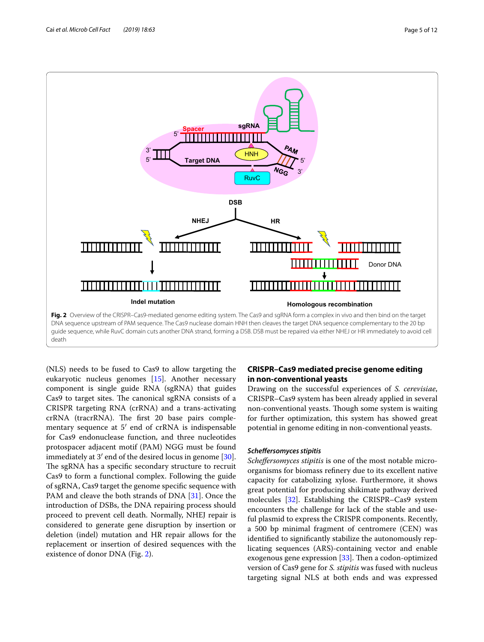

<span id="page-4-0"></span>(NLS) needs to be fused to Cas9 to allow targeting the eukaryotic nucleus genomes [\[15\]](#page-10-5). Another necessary component is single guide RNA (sgRNA) that guides Cas9 to target sites. The canonical sgRNA consists of a CRISPR targeting RNA (crRNA) and a trans-activating crRNA (tracrRNA). The first 20 base pairs complementary sequence at 5′ end of crRNA is indispensable for Cas9 endonuclease function, and three nucleotides protospacer adjacent motif (PAM) NGG must be found immediately at 3′ end of the desired locus in genome [\[30](#page-10-30)]. The sgRNA has a specific secondary structure to recruit Cas9 to form a functional complex. Following the guide of sgRNA, Cas9 target the genome specifc sequence with PAM and cleave the both strands of DNA [[31\]](#page-10-31). Once the introduction of DSBs, the DNA repairing process should proceed to prevent cell death. Normally, NHEJ repair is considered to generate gene disruption by insertion or deletion (indel) mutation and HR repair allows for the replacement or insertion of desired sequences with the existence of donor DNA (Fig. [2](#page-4-0)).

# **CRISPR–Cas9 mediated precise genome editing in non-conventional yeasts**

Drawing on the successful experiences of *S. cerevisiae*, CRISPR–Cas9 system has been already applied in several non-conventional yeasts. Though some system is waiting for further optimization, this system has showed great potential in genome editing in non-conventional yeasts.

## *Schefersomyces stipitis*

*Schefersomyces stipitis* is one of the most notable microorganisms for biomass refnery due to its excellent native capacity for catabolizing xylose. Furthermore, it shows great potential for producing shikimate pathway derived molecules [\[32\]](#page-10-32). Establishing the CRISPR–Cas9 system encounters the challenge for lack of the stable and useful plasmid to express the CRISPR components. Recently, a 500 bp minimal fragment of centromere (CEN) was identifed to signifcantly stabilize the autonomously replicating sequences (ARS)-containing vector and enable exogenous gene expression  $[33]$  $[33]$ . Then a codon-optimized version of Cas9 gene for *S. stipitis* was fused with nucleus targeting signal NLS at both ends and was expressed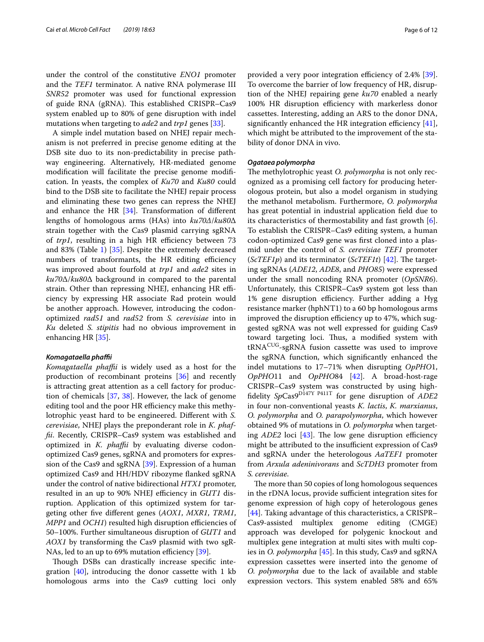under the control of the constitutive *ENO1* promoter and the *TEF1* terminator. A native RNA polymerase III *SNR52* promoter was used for functional expression of guide RNA (gRNA). This established CRISPR–Cas9 system enabled up to 80% of gene disruption with indel mutations when targeting to *ade2* and *trp1* genes [[33\]](#page-10-19).

A simple indel mutation based on NHEJ repair mechanism is not preferred in precise genome editing at the DSB site duo to its non-predictability in precise pathway engineering. Alternatively, HR-mediated genome modifcation will facilitate the precise genome modifcation. In yeasts, the complex of *Ku70* and *Ku80* could bind to the DSB site to facilitate the NHEJ repair process and eliminating these two genes can repress the NHEJ and enhance the HR [\[34](#page-10-33)]. Transformation of diferent lengths of homologous arms (HAs) into *ku70Δ*/*ku80*Δ strain together with the Cas9 plasmid carrying sgRNA of *trp1*, resulting in a high HR efficiency between 73 and 83% (Table [1](#page-2-0)) [[35\]](#page-10-20). Despite the extremely decreased numbers of transformants, the HR editing efficiency was improved about fourfold at *trp1* and *ade2* sites in *ku70*Δ/*ku80*Δ background in compared to the parental strain. Other than repressing NHEJ, enhancing HR efficiency by expressing HR associate Rad protein would be another approach. However, introducing the codonoptimized *rad51* and *rad52* from *S. cerevisiae* into in *Ku* deleted *S. stipitis* had no obvious improvement in enhancing HR [[35\]](#page-10-20).

#### *Komagataella phafi*

*Komagataella phafi* is widely used as a host for the production of recombinant proteins [[36\]](#page-10-34) and recently is attracting great attention as a cell factory for production of chemicals [[37,](#page-10-35) [38](#page-10-36)]. However, the lack of genome editing tool and the poor HR efficiency make this methylotrophic yeast hard to be engineered. Diferent with *S. cerevisiae*, NHEJ plays the preponderant role in *K. phaffi*. Recently, CRISPR–Cas9 system was established and optimized in *K. phaffii* by evaluating diverse codonoptimized Cas9 genes, sgRNA and promoters for expression of the Cas9 and sgRNA [[39](#page-10-21)]. Expression of a human optimized Cas9 and HH/HDV ribozyme fanked sgRNA under the control of native bidirectional *HTX1* promoter, resulted in an up to 90% NHEJ efficiency in *GUT1* disruption. Application of this optimized system for targeting other fve diferent genes (*AOX1*, *MXR1*, *TRM1*, *MPP1* and *OCH1*) resulted high disruption efficiencies of 50–100%. Further simultaneous disruption of *GUT1* and *AOX1* by transforming the Cas9 plasmid with two sgR-NAs, led to an up to 69% mutation efficiency  $[39]$  $[39]$ .

Though DSBs can drastically increase specific integration  $[40]$  $[40]$  $[40]$ , introducing the donor cassette with 1 kb homologous arms into the Cas9 cutting loci only provided a very poor integration efficiency of 2.4% [\[39](#page-10-21)]. To overcome the barrier of low frequency of HR, disruption of the NHEJ repairing gene *ku70* enabled a nearly 100% HR disruption efficiency with markerless donor cassettes. Interesting, adding an ARS to the donor DNA, significantly enhanced the HR integration efficiency  $[41]$  $[41]$ , which might be attributed to the improvement of the stability of donor DNA in vivo.

## *Ogataea polymorpha*

The methylotrophic yeast *O. polymorpha* is not only recognized as a promising cell factory for producing heterologous protein, but also a model organism in studying the methanol metabolism. Furthermore, *O. polymorpha* has great potential in industrial application feld due to its characteristics of thermostability and fast growth [\[6](#page-9-4)]. To establish the CRISPR–Cas9 editing system, a human codon-optimized Cas9 gene was frst cloned into a plasmid under the control of *S. cerevisiae TEF1* promoter  $(ScTEF1p)$  and its terminator  $(ScTEF1t)$  [[42\]](#page-10-23). The targeting sgRNAs (*ADE12*, *ADE8*, and *PHO85*) were expressed under the small noncoding RNA promoter (*OpSNR6*). Unfortunately, this CRISPR–Cas9 system got less than 1% gene disruption efficiency. Further adding a Hyg resistance marker (hphNT1) to a 60 bp homologous arms improved the disruption efficiency up to 47%, which suggested sgRNA was not well expressed for guiding Cas9 toward targeting loci. Thus, a modified system with tRNACUG-sgRNA fusion cassette was used to improve the sgRNA function, which signifcantly enhanced the indel mutations to 17–71% when disrupting *OpPHO*1, *OpPHO*11 and *OpPHO*84 [[42](#page-10-23)]. A broad-host-rage CRISPR–Cas9 system was constructed by using highfdelity *Sp*Cas9D147Y P411T for gene disruption of *ADE2* in four non-conventional yeasts *K. lactis*, *K. marxianus*, *O. polymorpha* and *O. parapolymorpha*, which however obtained 9% of mutations in *O. polymorpha* when targeting  $ADE2$  loci [\[43](#page-10-24)]. The low gene disruption efficiency might be attributed to the insufficient expression of Cas9 and sgRNA under the heterologous *AaTEF1* promoter from *Arxula adeninivorans* and *ScTDH3* promoter from *S. cerevisiae*.

The more than 50 copies of long homologous sequences in the rDNA locus, provide sufficient integration sites for genome expression of high copy of heterologous genes [[44\]](#page-10-38). Taking advantage of this characteristics, a CRISPR– Cas9-assisted multiplex genome editing (CMGE) approach was developed for polygenic knockout and multiplex gene integration at multi sites with multi copies in *O. polymorpha* [[45\]](#page-10-25). In this study, Cas9 and sgRNA expression cassettes were inserted into the genome of *O. polymorpha* due to the lack of available and stable expression vectors. This system enabled 58% and 65%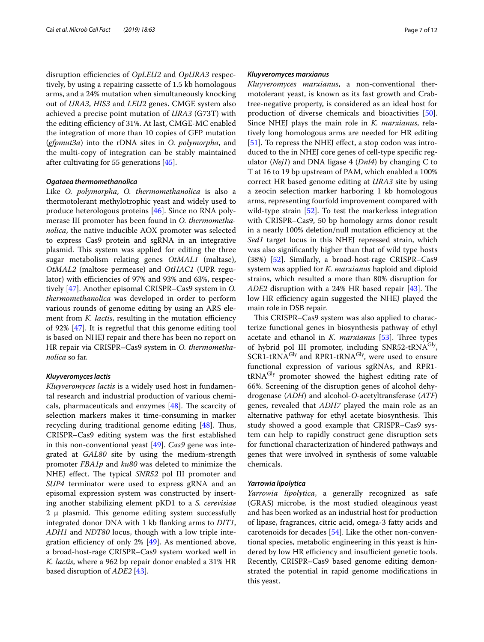disruption efficiencies of *OpLEU2* and *OpURA3* respectively, by using a repairing cassette of 1.5 kb homologous arms, and a 24% mutation when simultaneously knocking out of *URA3*, *HIS3* and *LEU2* genes. CMGE system also achieved a precise point mutation of *URA3* (G73T) with the editing efficiency of 31%. At last, CMGE-MC enabled the integration of more than 10 copies of GFP mutation (*gfpmut3a*) into the rDNA sites in *O. polymorpha*, and the multi-copy of integration can be stably maintained after cultivating for 55 generations [[45\]](#page-10-25).

## *Ogataea thermomethanolica*

Like *O. polymorpha*, *O. thermomethanolica* is also a thermotolerant methylotrophic yeast and widely used to produce heterologous proteins [\[46\]](#page-10-39). Since no RNA polymerase III promoter has been found in *O. thermomethanolica*, the native inducible AOX promoter was selected to express Cas9 protein and sgRNA in an integrative plasmid. This system was applied for editing the three sugar metabolism relating genes *OtMAL1* (maltase), *OtMAL2* (maltose permease) and *OtHAC1* (UPR regulator) with efficiencies of 97% and 93% and 63%, respectively [\[47](#page-10-26)]. Another episomal CRISPR–Cas9 system in *O. thermomethanolica* was developed in order to perform various rounds of genome editing by using an ARS element from *K. lactis*, resulting in the mutation efficiency of 92% [\[47](#page-10-26)]. It is regretful that this genome editing tool is based on NHEJ repair and there has been no report on HR repair via CRISPR–Cas9 system in *O. thermomethanolica* so far.

## *Kluyveromyces lactis*

*Kluyveromyces lactis* is a widely used host in fundamental research and industrial production of various chemicals, pharmaceuticals and enzymes  $[48]$  $[48]$ . The scarcity of selection markers makes it time-consuming in marker recycling during traditional genome editing  $[48]$  $[48]$ . Thus, CRISPR–Cas9 editing system was the frst established in this non-conventional yeast [[49](#page-10-27)]. *Cas9* gene was integrated at *GAL80* site by using the medium-strength promoter *FBA1p* and *ku80* was deleted to minimize the NHEJ effect. The typical *SNR52* pol III promoter and *SUP4* terminator were used to express gRNA and an episomal expression system was constructed by inserting another stabilizing element pKD1 to a *S. cerevisiae*  $2 \mu$  plasmid. This genome editing system successfully integrated donor DNA with 1 kb fanking arms to *DIT1*, *ADH1* and *NDT80* locus, though with a low triple integration efficiency of only  $2\%$  [ $49$ ]. As mentioned above, a broad-host-rage CRISPR–Cas9 system worked well in *K. lactis*, where a 962 bp repair donor enabled a 31% HR based disruption of *ADE2* [[43\]](#page-10-24).

## *Kluyveromyces marxianus*

*Kluyveromyces marxianus*, a non-conventional thermotolerant yeast, is known as its fast growth and Crabtree-negative property, is considered as an ideal host for production of diverse chemicals and bioactivities [\[50](#page-10-41)]. Since NHEJ plays the main role in *K. marxianus*, relatively long homologous arms are needed for HR editing [[51\]](#page-10-42). To repress the NHEJ effect, a stop codon was introduced to the in NHEJ core genes of cell-type specifc regulator (*Nej1*) and DNA ligase 4 (*Dnl4*) by changing C to T at 16 to 19 bp upstream of PAM, which enabled a 100% correct HR based genome editing at *URA3* site by using a zeocin selection marker harboring 1 kb homologous arms, representing fourfold improvement compared with wild-type strain [[52](#page-10-28)]. To test the markerless integration with CRISPR–Cas9, 50 bp homology arms donor result in a nearly 100% deletion/null mutation efficiency at the *Sed1* target locus in this NHEJ repressed strain, which was also signifcantly higher than that of wild type hosts (38%) [\[52\]](#page-10-28). Similarly, a broad-host-rage CRISPR–Cas9 system was applied for *K. marxianus* haploid and diploid strains, which resulted a more than 80% disruption for *ADE2* disruption with a 24% HR based repair [\[43](#page-10-24)]. The low HR efficiency again suggested the NHEJ played the main role in DSB repair.

This CRISPR–Cas9 system was also applied to characterize functional genes in biosynthesis pathway of ethyl acetate and ethanol in *K. marxianus* [\[53](#page-10-29)]. Three types of hybrid pol III promoter, including SNR52-tRNA<sup>Gly</sup>,  $SCR1$ -tRNA<sup>Gly</sup> and RPR1-tRNA<sup>Gly</sup>, were used to ensure functional expression of various sgRNAs, and RPR1 tRNA<sup>Gly</sup> promoter showed the highest editing rate of 66%. Screening of the disruption genes of alcohol dehydrogenase (*ADH*) and alcohol-*O*-acetyltransferase (*ATF*) genes, revealed that *ADH7* played the main role as an alternative pathway for ethyl acetate biosynthesis. This study showed a good example that CRISPR–Cas9 system can help to rapidly construct gene disruption sets for functional characterization of hindered pathways and genes that were involved in synthesis of some valuable chemicals.

#### *Yarrowia lipolytica*

*Yarrowia lipolytica*, a generally recognized as safe (GRAS) microbe, is the most studied oleaginous yeast and has been worked as an industrial host for production of lipase, fragrances, citric acid, omega-3 fatty acids and carotenoids for decades [[54\]](#page-11-3). Like the other non-conventional species, metabolic engineering in this yeast is hindered by low HR efficiency and insufficient genetic tools. Recently, CRISPR–Cas9 based genome editing demonstrated the potential in rapid genome modifcations in this yeast.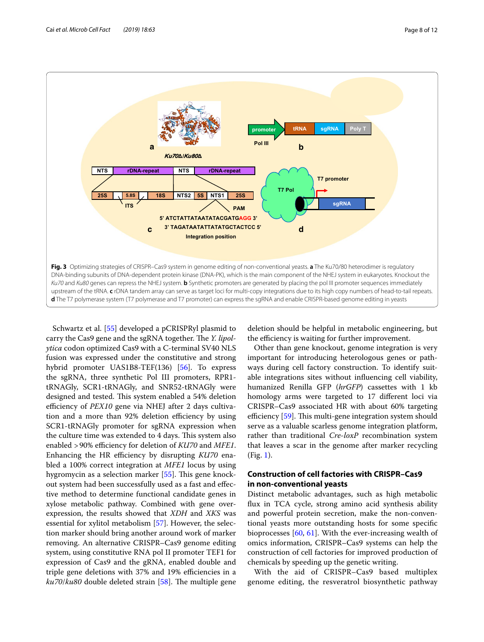

<span id="page-7-0"></span>Schwartz et al. [\[55](#page-11-0)] developed a pCRISPRyl plasmid to carry the Cas9 gene and the sgRNA together. The *Y. lipolytica* codon optimized Cas9 with a C-terminal SV40 NLS fusion was expressed under the constitutive and strong hybrid promoter UAS1B8-TEF(136) [\[56](#page-11-4)]. To express the sgRNA, three synthetic Pol III promoters, RPR1 tRNAGly, SCR1-tRNAGly, and SNR52-tRNAGly were designed and tested. This system enabled a 54% deletion efficiency of *PEX10* gene via NHEJ after 2 days cultivation and a more than 92% deletion efficiency by using SCR1-tRNAGly promoter for sgRNA expression when the culture time was extended to 4 days. This system also enabled > 90% efficiency for deletion of *KU70* and *MFE1*. Enhancing the HR efficiency by disrupting *KU70* enabled a 100% correct integration at *MFE1* locus by using hygromycin as a selection marker [[55\]](#page-11-0). This gene knockout system had been successfully used as a fast and efective method to determine functional candidate genes in xylose metabolic pathway. Combined with gene overexpression, the results showed that *XDH* and *XKS* was essential for xylitol metabolism [[57\]](#page-11-5). However, the selection marker should bring another around work of marker removing. An alternative CRISPR–Cas9 genome editing system, using constitutive RNA pol II promoter TEF1 for expression of Cas9 and the gRNA, enabled double and triple gene deletions with 37% and 19% efficiencies in a *ku70/ku80* double deleted strain [\[58](#page-11-2)]. The multiple gene deletion should be helpful in metabolic engineering, but the efficiency is waiting for further improvement.

Other than gene knockout, genome integration is very important for introducing heterologous genes or pathways during cell factory construction. To identify suitable integrations sites without infuencing cell viability, humanized Renilla GFP (*hrGFP*) cassettes with 1 kb homology arms were targeted to 17 diferent loci via CRISPR–Cas9 associated HR with about 60% targeting efficiency  $[59]$ . This multi-gene integration system should serve as a valuable scarless genome integration platform, rather than traditional *Cre*-*loxP* recombination system that leaves a scar in the genome after marker recycling (Fig. [1\)](#page-1-0).

# **Construction of cell factories with CRISPR–Cas9 in non-conventional yeasts**

Distinct metabolic advantages, such as high metabolic fux in TCA cycle, strong amino acid synthesis ability and powerful protein secretion, make the non-conventional yeasts more outstanding hosts for some specifc bioprocesses [[60,](#page-11-6) [61](#page-11-7)]. With the ever-increasing wealth of omics information, CRISPR–Cas9 systems can help the construction of cell factories for improved production of chemicals by speeding up the genetic writing.

With the aid of CRISPR–Cas9 based multiplex genome editing, the resveratrol biosynthetic pathway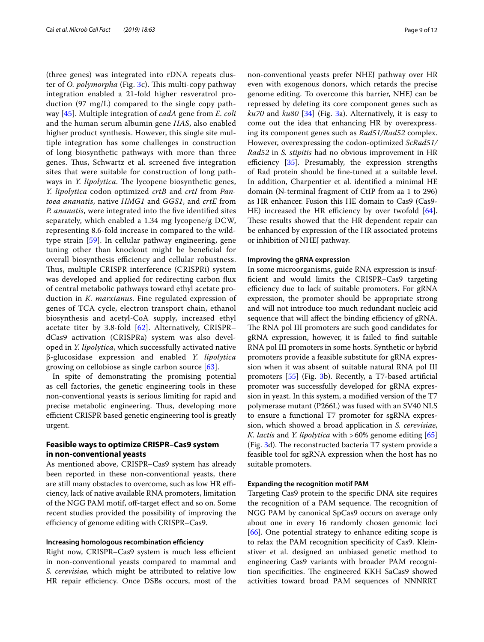(three genes) was integrated into rDNA repeats cluster of *O. polymorpha* (Fig. [3c](#page-7-0)). This multi-copy pathway integration enabled a 21-fold higher resveratrol production (97 mg/L) compared to the single copy pathway [[45\]](#page-10-25). Multiple integration of *cadA* gene from *E. coli* and the human serum albumin gene *HAS*, also enabled higher product synthesis. However, this single site multiple integration has some challenges in construction of long biosynthetic pathways with more than three genes. Thus, Schwartz et al. screened five integration sites that were suitable for construction of long pathways in *Y. lipolytica*. The lycopene biosynthetic genes, *Y. lipolytica* codon optimized *crtB* and *crtI* from *Pantoea ananatis*, native *HMG1* and *GGS1*, and *crtE* from *P. ananatis*, were integrated into the fve identifed sites separately, which enabled a 1.34 mg lycopene/g DCW, representing 8.6-fold increase in compared to the wildtype strain [[59\]](#page-11-1). In cellular pathway engineering, gene tuning other than knockout might be benefcial for overall biosynthesis efficiency and cellular robustness. Thus, multiple CRISPR interference (CRISPRi) system was developed and applied for redirecting carbon fux of central metabolic pathways toward ethyl acetate production in *K. marxianus*. Fine regulated expression of genes of TCA cycle, electron transport chain, ethanol biosynthesis and acetyl-CoA supply, increased ethyl acetate titer by 3.8-fold [\[62](#page-11-8)]. Alternatively, CRISPR– dCas9 activation (CRISPRa) system was also developed in *Y. lipolytica*, which successfully activated native β-glucosidase expression and enabled *Y. lipolytica* growing on cellobiose as single carbon source [\[63](#page-11-9)].

In spite of demonstrating the promising potential as cell factories, the genetic engineering tools in these non-conventional yeasts is serious limiting for rapid and precise metabolic engineering. Thus, developing more efficient CRISPR based genetic engineering tool is greatly urgent.

## **Feasible ways to optimize CRISPR–Cas9 system in non-conventional yeasts**

As mentioned above, CRISPR–Cas9 system has already been reported in these non-conventional yeasts, there are still many obstacles to overcome, such as low HR efficiency, lack of native available RNA promoters, limitation of the NGG PAM motif, off-target effect and so on. Some recent studies provided the possibility of improving the efficiency of genome editing with CRISPR–Cas9.

#### **Increasing homologous recombination efficiency**

Right now, CRISPR-Cas9 system is much less efficient in non-conventional yeasts compared to mammal and *S. cerevisiae,* which might be attributed to relative low HR repair efficiency. Once DSBs occurs, most of the non-conventional yeasts prefer NHEJ pathway over HR even with exogenous donors, which retards the precise genome editing. To overcome this barrier, NHEJ can be repressed by deleting its core component genes such as *ku70* and *ku80* [\[34](#page-10-33)] (Fig. [3a](#page-7-0)). Alternatively, it is easy to come out the idea that enhancing HR by overexpressing its component genes such as *Rad51/Rad52* complex. However, overexpressing the codon-optimized *ScRad51/ Rad52* in *S. stipitis* had no obvious improvement in HR efficiency  $[35]$  $[35]$ . Presumably, the expression strengths of Rad protein should be fne-tuned at a suitable level. In addition, Charpentier et al. identifed a minimal HE domain (N-terminal fragment of CtIP from aa 1 to 296) as HR enhancer. Fusion this HE domain to Cas9 (Cas9- HE) increased the HR efficiency by over twofold  $[64]$  $[64]$ . These results showed that the HR dependent repair can be enhanced by expression of the HR associated proteins or inhibition of NHEJ pathway.

#### **Improving the gRNA expression**

In some microorganisms, guide RNA expression is insuffcient and would limits the CRISPR–Cas9 targeting efficiency due to lack of suitable promoters. For gRNA expression, the promoter should be appropriate strong and will not introduce too much redundant nucleic acid sequence that will affect the binding efficiency of gRNA. The RNA pol III promoters are such good candidates for gRNA expression, however, it is failed to fnd suitable RNA pol III promoters in some hosts. Synthetic or hybrid promoters provide a feasible substitute for gRNA expression when it was absent of suitable natural RNA pol III promoters [[55](#page-11-0)] (Fig. [3](#page-7-0)b). Recently, a T7-based artifcial promoter was successfully developed for gRNA expression in yeast. In this system, a modifed version of the T7 polymerase mutant (P266L) was fused with an SV40 NLS to ensure a functional T7 promoter for sgRNA expression, which showed a broad application in *S. cerevisiae*, *K. lactis* and *Y. lipolytica* with >60% genome editing [[65](#page-11-11)] (Fig.  $3d$ ). The reconstructed bacteria T7 system provide a feasible tool for sgRNA expression when the host has no suitable promoters.

## **Expanding the recognition motif PAM**

Targeting Cas9 protein to the specifc DNA site requires the recognition of a PAM sequence. The recognition of NGG PAM by canonical SpCas9 occurs on average only about one in every 16 randomly chosen genomic loci [[66\]](#page-11-12). One potential strategy to enhance editing scope is to relax the PAM recognition specifcity of Cas9. Kleinstiver et al. designed an unbiased genetic method to engineering Cas9 variants with broader PAM recognition specificities. The engineered KKH SaCas9 showed activities toward broad PAM sequences of NNNRRT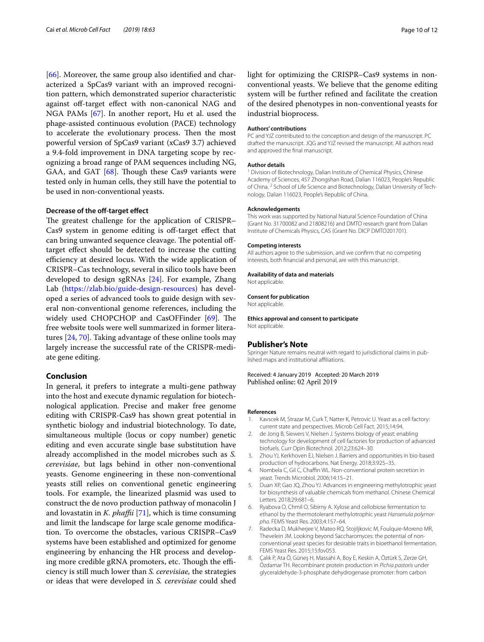[[66\]](#page-11-12). Moreover, the same group also identifed and characterized a SpCas9 variant with an improved recognition pattern, which demonstrated superior characteristic against off-target effect with non-canonical NAG and NGA PAMs [\[67](#page-11-13)]. In another report, Hu et al. used the phage-assisted continuous evolution (PACE) technology to accelerate the evolutionary process. Then the most powerful version of SpCas9 variant (xCas9 3.7) achieved a 9.4-fold improvement in DNA targeting scope by recognizing a broad range of PAM sequences including NG, GAA, and GAT  $[68]$  $[68]$ . Though these Cas9 variants were tested only in human cells, they still have the potential to be used in non-conventional yeasts.

#### **Decrease of the off-target effect**

The greatest challenge for the application of CRISPR-Cas9 system in genome editing is off-target effect that can bring unwanted sequence cleavage. The potential offtarget efect should be detected to increase the cutting efficiency at desired locus. With the wide application of CRISPR–Cas technology, several in silico tools have been developed to design sgRNAs [\[24](#page-10-13)]. For example, Zhang Lab [\(https://zlab.bio/guide-design-resources](https://zlab.bio/guide-design-resources)) has developed a series of advanced tools to guide design with several non-conventional genome references, including the widely used CHOPCHOP and CasOFFinder  $[69]$ . The free website tools were well summarized in former literatures [[24,](#page-10-13) [70](#page-11-16)]. Taking advantage of these online tools may largely increase the successful rate of the CRISPR-mediate gene editing.

## **Conclusion**

In general, it prefers to integrate a multi-gene pathway into the host and execute dynamic regulation for biotechnological application. Precise and maker free genome editing with CRISPR-Cas9 has shown great potential in synthetic biology and industrial biotechnology. To date, simultaneous multiple (locus or copy number) genetic editing and even accurate single base substitution have already accomplished in the model microbes such as *S. cerevisiae*, but lags behind in other non-conventional yeasts. Genome engineering in these non-conventional yeasts still relies on conventional genetic engineering tools. For example, the linearized plasmid was used to construct the de novo production pathway of monacolin J and lovastatin in *K. phaffii* [\[71](#page-11-17)], which is time consuming and limit the landscape for large scale genome modifcation. To overcome the obstacles, various CRISPR–Cas9 systems have been established and optimized for genome engineering by enhancing the HR process and developing more credible gRNA promoters, etc. Though the efficiency is still much lower than *S. cerevisiae,* the strategies or ideas that were developed in *S. cerevisiae* could shed light for optimizing the CRISPR–Cas9 systems in nonconventional yeasts. We believe that the genome editing system will be further refned and facilitate the creation of the desired phenotypes in non-conventional yeasts for industrial bioprocess.

## **Authors' contributions**

PC and YJZ contributed to the conception and design of the manuscript. PC drafted the manuscript. JQG and YJZ revised the manuscript. All authors read and approved the fnal manuscript.

#### **Author details**

<sup>1</sup> Division of Biotechnology, Dalian Institute of Chemical Physics, Chinese Academy of Sciences, 457 Zhongshan Road, Dalian 116023, People's Republic of China. <sup>2</sup> School of Life Science and Biotechnology, Dalian University of Technology, Dalian 116023, People's Republic of China.

#### **Acknowledgements**

This work was supported by National Natural Science Foundation of China (Grant No. 31700082 and 21808216) and DMTO research grant from Dalian Institute of Chemicals Physics, CAS (Grant No. DICP DMTO201701).

#### **Competing interests**

All authors agree to the submission, and we confrm that no competing interests, both fnancial and personal, are with this manuscript.

#### **Availability of data and materials**

Not applicable.

#### **Consent for publication**

Not applicable.

**Ethics approval and consent to participate** Not applicable.

#### **Publisher's Note**

Springer Nature remains neutral with regard to jurisdictional claims in published maps and institutional afliations.

Received: 4 January 2019 Accepted: 20 March 2019 Published online: 02 April 2019

#### **References**

- <span id="page-9-0"></span>1. Kavscek M, Strazar M, Curk T, Natter K, Petrovic U. Yeast as a cell factory: current state and perspectives. Microb Cell Fact. 2015;14:94.
- 2. de Jong B, Siewers V, Nielsen J. Systems biology of yeast: enabling technology for development of cell factories for production of advanced biofuels. Curr Opin Biotechnol. 2012;23:624–30.
- <span id="page-9-1"></span>Zhou YJ, Kerkhoven EJ, Nielsen J. Barriers and opportunities in bio-based production of hydrocarbons. Nat Energy. 2018;3:925–35.
- <span id="page-9-2"></span>4. Nombela C, Gil C, Chaffin WL. Non-conventional protein secretion in yeast. Trends Microbiol. 2006;14:15–21.
- <span id="page-9-3"></span>5. Duan XP, Gao JQ, Zhou YJ. Advances in engineering methylotrophic yeast for biosynthesis of valuable chemicals from methanol. Chinese Chemical Letters. 2018;29:681–6.
- <span id="page-9-4"></span>6. Ryabova O, Chmil O, Sibirny A. Xylose and cellobiose fermentation to ethanol by the thermotolerant methylotrophic yeast *Hansenula polymorpha*. FEMS Yeast Res. 2003;4:157–64.
- <span id="page-9-5"></span>7. Radecka D, Mukherjee V, Mateo RQ. Stojiljkovic M, Foulquie-Moreno MR, Thevelein JM. Looking beyond Saccharomyces: the potential of nonconventional yeast species for desirable traits in bioethanol fermentation. FEMS Yeast Res. 2015;15:fov053.
- <span id="page-9-6"></span>8. Çalık P, Ata Ö, Güneş H, Massahi A, Boy E, Keskin A, Öztürk S, Zerze GH, Özdamar TH. Recombinant protein production in *Pichia pastoris* under glyceraldehyde-3-phosphate dehydrogenase promoter: from carbon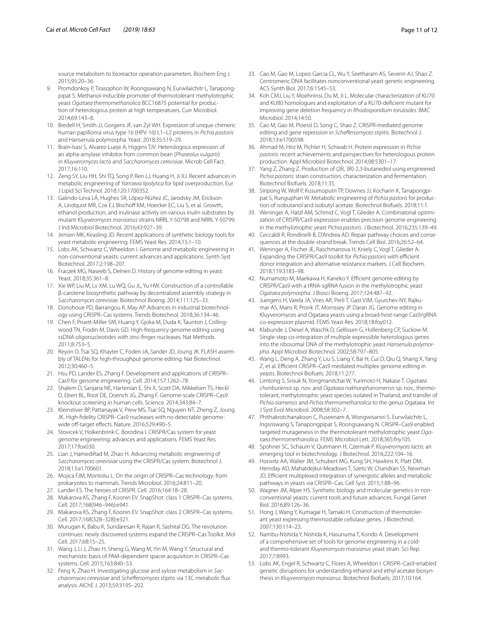source metabolism to bioreactor operation parameters. Biochem Eng J. 2015;95:20–36.

- 9. Promdonkoy P, Tirasophon W, Roongsawang N, Eurwilaichitr L, Tanapongpipat S. Methanol-inducible promoter of thermotolerant methylotrophic yeast *Ogataea thermomethanolica* BCC16875 potential for production of heterologous protein at high temperatures. Curr Microbiol. 2014;69:143–8.
- <span id="page-10-0"></span>10. Bredell H, Smith JJ, Gorgens JF, van Zyl WH. Expression of unique chimeric human papilloma virus type 16 (HPV-16) L1–L2 proteins in *Pichia pastoris* and Hansenula polymorpha. Yeast. 2018;35:519–29.
- <span id="page-10-1"></span>11. Brain-Isasi S, Alvarez-Lueje A, Higgins TJV. Heterologous expression of an alpha-amylase inhibitor from common bean (*Phaseolus vulgaris*) in *Kluyveromyces lactis* and *Saccharomyces cerevisiae*. Microb Cell Fact. 2017;16:110.
- <span id="page-10-2"></span>12. Zeng SY, Liu HH, Shi TQ, Song P, Ren LJ, Huang H, Ji XJ. Recent advances in metabolic engineering of *Yarrowia lipolytica* for lipid overproduction. Eur J Lipid Sci Technol. 2018;120:1700352.
- <span id="page-10-3"></span>13. Galindo-Leva LÁ, Hughes SR, López-Núñez JC, Jarodsky JM, Erickson A, Lindquist MR, Cox EJ, Bischoff KM, Hoecker EC, Liu S, et al. Growth, ethanol production, and inulinase activity on various inulin substrates by mutant *Kluyveromyces marxianus* strains NRRL Y-50798 and NRRL Y-50799. J Ind Microbiol Biotechnol. 2016;43:927–39.
- <span id="page-10-4"></span>14. Jensen MK, Keasling JD. Recent applications of synthetic biology tools for yeast metabolic engineering. FEMS Yeast Res. 2014;15:1–10.
- <span id="page-10-5"></span>15. Lobs AK, Schwartz C, Wheeldon I. Genome and metabolic engineering in non-conventional yeasts: current advances and applications. Synth Syst Biotechnol. 2017;2:198–207.
- <span id="page-10-6"></span>16. Fraczek MG, Naseeb S, Delneri D. History of genome editing in yeast. Yeast. 2018;35:361–8.
- <span id="page-10-7"></span>17. Xie WP, Liu M, Lv XM, Lu WQ, Gu JL, Yu HW. Construction of a controllable β-carotene biosynthetic pathway by decentralized assembly strategy in *Saccharomyces cerevisiae*. Biotechnol Bioeng. 2014;111:125–33.
- <span id="page-10-8"></span>18. Donohoue PD, Barrangou R, May AP. Advances in industrial biotechnology using CRISPR–Cas systems. Trends Biotechnol. 2018;36:134–46.
- <span id="page-10-9"></span>19. Chen F, Pruett-Miller SM, Huang Y, Gjoka M, Duda K, Taunton J, Collingwood TN, Frodin M, Davis GD. High-frequency genome editing using ssDNA oligonucleotides with zinc-fnger nucleases. Nat Methods. 2011;8:753–5.
- <span id="page-10-10"></span>20. Reyon D, Tsai SQ, Khayter C, Foden JA, Sander JD, Joung JK. FLASH assembly of TALENs for high-throughput genome editing. Nat Biotechnol. 2012;30:460–5.
- <span id="page-10-11"></span>21. Hsu PD, Lander ES, Zhang F. Development and applications of CRISPR– Cas9 for genome engineering. Cell. 2014;157:1262–78.
- 22. Shalem O, Sanjana NE, Hartenian E, Shi X, Scott DA, Mikkelsen TS, Heckl D, Ebert BL, Root DE, Doench JG, Zhang F. Genome-scale CRISPR–Cas9 knockout screening in human cells. Science. 2014;343:84–7.
- <span id="page-10-12"></span>23. Kleinstiver BP, Pattanayak V, Prew MS, Tsai SQ, Nguyen NT, Zheng Z, Joung JK. High-fdelity CRISPR–Cas9 nucleases with no detectable genomewide off-target effects. Nature. 2016;529:490-5.
- <span id="page-10-13"></span>24. Stovicek V, Holkenbrink C. Borodina I. CRISPR/Cas system for yeast genome engineering: advances and applications. FEMS Yeast Res. 2017;17:fox030.
- <span id="page-10-14"></span>25. Lian J, HamediRad M, Zhao H. Advancing metabolic engineering of *Saccharomyces cerevisiae* using the CRISPR/Cas system. Biotechnol J. 2018;13:e1700601.
- <span id="page-10-15"></span>26. Mojica FJM, Montoliu L. On the origin of CRISPR–Cas technology: from prokaryotes to mammals. Trends Microbiol. 2016;24:811–20.
- <span id="page-10-16"></span>27. Lander ES. The heroes of CRISPR. Cell. 2016;164:18–28.
- <span id="page-10-17"></span>28. Makarova KS, Zhang F, Koonin EV. SnapShot: class 1 CRISPR–Cas systems. Cell. 2017;168(946–946):e941.
- <span id="page-10-18"></span>29. Makarova KS, Zhang F, Koonin EV. SnapShot: class 2 CRISPR–Cas systems. Cell. 2017;168(328–328):e321.
- <span id="page-10-30"></span>30. Murugan K, Babu K, Sundaresan R, Rajan R, Sashital DG. The revolution continues: newly discovered systems expand the CRISPR–Cas Toolkit. Mol Cell. 2017;68:15–25.
- <span id="page-10-31"></span>31. Wang J, Li J, Zhao H, Sheng G, Wang M, Yin M, Wang Y. Structural and mechanistic basis of PAM-dependent spacer acquisition in CRISPR–Cas systems. Cell. 2015;163:840–53.
- <span id="page-10-32"></span>32. Feng X, Zhao H. Investigating glucose and xylose metabolism in *Saccharomyces cerevisiae* and *Schefersomyces stipitis* via 13C metabolic fux analysis. AIChE J. 2013;59:3195–202.
- <span id="page-10-19"></span>33. Cao M, Gao M, Lopez-Garcia CL, Wu Y, Seetharam AS, Severin AJ, Shao Z. Centromeric DNA facilitates nonconventional yeast genetic engineering. ACS Synth Biol. 2017;6:1545–53.
- <span id="page-10-33"></span>34. Koh CMJ, Liu Y, Moehninsi, Du M, Ji L. Molecular characterization of KU70 and KU80 homologues and exploitation of a KU70-defcient mutant for improving gene deletion frequency in *Rhodosporidium toruloides*. BMC Microbiol. 2014;14:50.
- <span id="page-10-20"></span>35. Cao M, Gao M, Ploessl D, Song C, Shao Z. CRISPR-mediated genome editing and gene repression in *Schefersomyces stipitis*. Biotechnol J. 2018;13:e1700598.
- <span id="page-10-34"></span>36. Ahmad M, Hirz M, Pichler H, Schwab H. Protein expression in *Pichia pastoris*: recent achievements and perspectives for heterologous protein production. Appl Microbiol Biotechnol. 2014;98:5301–17.
- <span id="page-10-35"></span>37. Yang Z, Zhang Z. Production of (2R, 3R)-2,3-butanediol using engineered *Pichia pastoris*: strain construction, characterization and fermentation. Biotechnol Biofuels. 2018;11:35.
- <span id="page-10-36"></span>38. Siripong W, Wolf P, Kusumoputri TP, Downes JJ, Kocharin K, Tanapongpipat S, Runguphan W. Metabolic engineering of *Pichia pastoris* for production of isobutanol and isobutyl acetate. Biotechnol Biofuels. 2018;11:1.
- <span id="page-10-21"></span>39. Weninger A, Hatzl AM, Schmid C, Vogl T, Glieder A. Combinatorial optimization of CRISPR/Cas9 expression enables precision genome engineering in the methylotrophic yeast *Pichia pastoris*. J Biotechnol. 2016;235:139–49.
- <span id="page-10-37"></span>40. Ceccaldi R, Rondinelli B, D'Andrea AD. Repair pathway choices and consequences at the double-strand break. Trends Cell Biol. 2016;26:52–64.
- <span id="page-10-22"></span>41. Weninger A, Fischer JE, Raschmanova H, Kniely C, Vogl T, Glieder A. Expanding the CRISPR/Cas9 toolkit for *Pichia pastoris* with efficient donor integration and alternative resistance markers. J Cell Biochem. 2018;119:3183–98.
- <span id="page-10-23"></span>42. Numamoto M, Maekawa H, Kaneko Y. Efficient genome editing by CRISPR/Cas9 with a tRNA-sgRNA fusion in the methylotrophic yeast *Ogataea polymorpha*. J Biosci Bioeng. 2017;124:487–92.
- <span id="page-10-24"></span>43. Juergens H, Varela JA, Vries AR, Perli T, Gast VJM, Gyurchev NY, Rajkumar AS, Mans R, Pronk JT, Morrissey JP. Daran JG. Genome editing in Kluyveromyces and Ogataea yeasts using a broad-host-range Cas9/gRNA co-expression plasmid. FEMS Yeast Res. 2018;18:foy012.
- <span id="page-10-38"></span>44. Klabunde J, Diesel A, Waschk D, Gellissen G, Hollenberg CP, Suckow M. Single-step co-integration of multiple expressible heterologous genes into the ribosomal DNA of the methylotrophic yeast *Hansenula polymorpha*. Appl Microbiol Biotechnol. 2002;58:797–805.
- <span id="page-10-25"></span>45. Wang L, Deng A, Zhang Y, Liu S, Liang Y, Bai H, Cui D, Qiu Q, Shang X, Yang Z, et al. Efficient CRISPR-Cas9 mediated multiplex genome editing in yeasts. Biotechnol Biofuels. 2018;11:277.
- <span id="page-10-39"></span>46. Limtong S, Srisuk N, Yongmanitchai W, Yurimoto H, Nakase T. *Ogataea chonburiensis* sp. nov. and *Ogataea nakhonphanomensis* sp. nov., thermotolerant, methylotrophic yeast species isolated in Thailand, and transfer of *Pichia siamensis* and *Pichia thermomethanolica* to the genus Ogataea. Int J Syst Evol Microbiol. 2008;58:302–7.
- <span id="page-10-26"></span>47. Phithakrotchanakoon C, Puseenam A, Wongwisansri S. Eurwilaichitr L, Ingsriswang S, Tanapongpipat S, Roongsawang N. CRISPR–Cas9 enabled targeted mutagenesis in the thermotolerant methylotrophic yeast *Ogataea thermomethanolica*. FEMS Microbiol Lett. 2018;365:fny105.
- <span id="page-10-40"></span>48. Spohner SC, Schaum V, Quitmann H, Czermak P. *Kluyveromyces lactis*: an emerging tool in biotechnology. J Biotechnol. 2016;222:104–16.
- <span id="page-10-27"></span>49. Horwitz AA, Walter JM, Schubert MG, Kung SH, Hawkins K, Platt DM, Hernday AD, Mahatdejkul-Meadows T, Szeto W, Chandran SS, Newman JD. Efficient multiplexed integration of synergistic alleles and metabolic pathways in yeasts via CRISPR–Cas. Cell Syst. 2015;1:88–96.
- <span id="page-10-41"></span>50. Wagner JM, Alper HS. Synthetic biology and molecular genetics in nonconventional yeasts: current tools and future advances. Fungal Genet Biol. 2016;89:126–36.
- <span id="page-10-42"></span>51. Hong J, Wang Y, Kumagai H, Tamaki H. Construction of thermotolerant yeast expressing thermostable cellulase genes. J Biotechnol. 2007;130:114–23.
- <span id="page-10-28"></span>52. Nambu-Nishida Y, Nishida K, Hasunuma T, Kondo A. Development of a comprehensive set of tools for genome engineering in a coldand thermo-tolerant *Kluyveromyces marxianus* yeast strain. Sci Rep. 2017;7:8993.
- <span id="page-10-29"></span>53. Lobs AK, Engel R, Schwartz C, Flores A, Wheeldon I. CRISPR–Cas9-enabled genetic disruptions for understanding ethanol and ethyl acetate biosynthesis in *Kluyveromyces marxianus*. Biotechnol Biofuels. 2017;10:164.